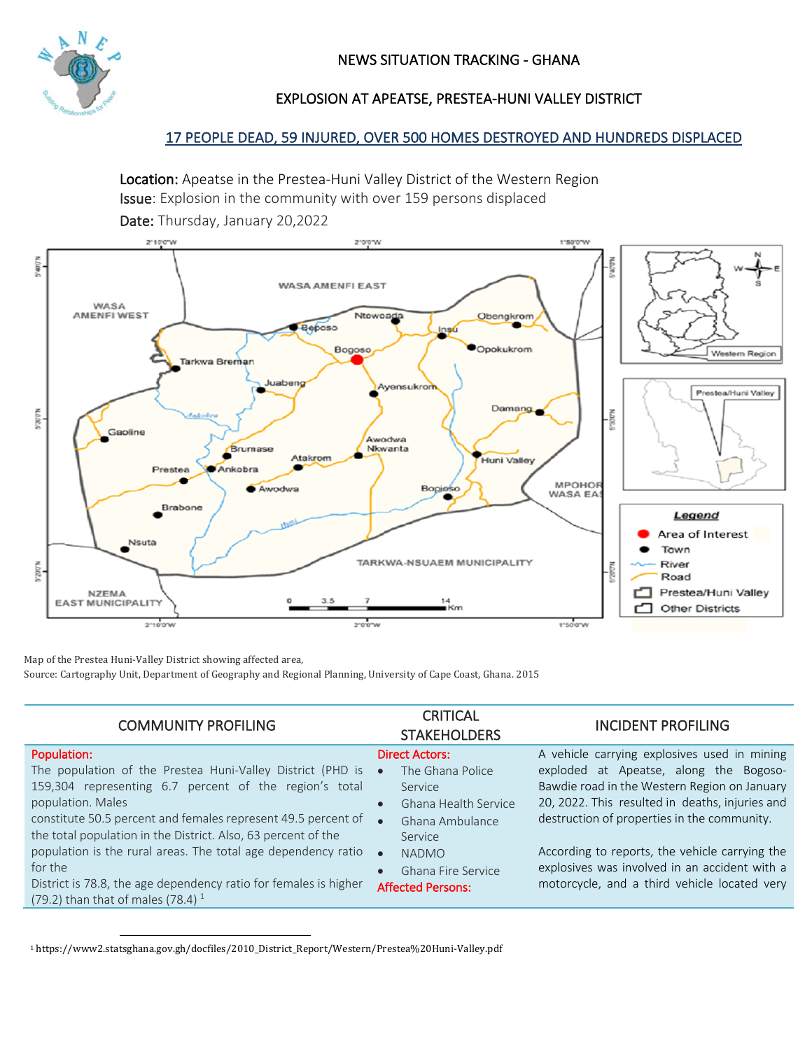

# EXPLOSION AT APEATSE, PRESTEA-HUNI VALLEY DISTRICT

## 17 PEOPLE DEAD, 59 INJURED, OVER 500 HOMES DESTROYED AND HUNDREDS DISPLACED

Location: Apeatse in the Prestea-Huni Valley District of the Western Region Issue: Explosion in the community with over 159 persons displaced Date: Thursday, January 20,2022



Map of the Prestea Huni-Valley District showing affected area,

Source: Cartography Unit, Department of Geography and Regional Planning, University of Cape Coast, Ghana. 2015

| Population:<br>A vehicle carrying explosives used in mining<br><b>Direct Actors:</b><br>The population of the Prestea Huni-Valley District (PHD is<br>exploded at Apeatse, along the Bogoso-<br>The Ghana Police<br>$\bullet$<br>159,304 representing 6.7 percent of the region's total<br>Bawdie road in the Western Region on January<br>Service<br>20, 2022. This resulted in deaths, injuries and<br>population. Males<br>Ghana Health Service<br>$\bullet$<br>constitute 50.5 percent and females represent 49.5 percent of<br>destruction of properties in the community.<br>Ghana Ambulance<br>$\bullet$<br>the total population in the District. Also, 63 percent of the<br>Service<br>population is the rural areas. The total age dependency ratio<br>According to reports, the vehicle carrying the<br><b>NADMO</b><br>$\bullet$<br>explosives was involved in an accident with a<br>for the<br>Ghana Fire Service<br>District is 78.8, the age dependency ratio for females is higher<br>motorcycle, and a third vehicle located very<br><b>Affected Persons:</b><br>(79.2) than that of males (78.4) $^1$ | <b>COMMUNITY PROFILING</b> | <b>CRITICAL</b><br><b>STAKEHOLDERS</b> | <b>INCIDENT PROFILING</b> |
|------------------------------------------------------------------------------------------------------------------------------------------------------------------------------------------------------------------------------------------------------------------------------------------------------------------------------------------------------------------------------------------------------------------------------------------------------------------------------------------------------------------------------------------------------------------------------------------------------------------------------------------------------------------------------------------------------------------------------------------------------------------------------------------------------------------------------------------------------------------------------------------------------------------------------------------------------------------------------------------------------------------------------------------------------------------------------------------------------------------------|----------------------------|----------------------------------------|---------------------------|
|                                                                                                                                                                                                                                                                                                                                                                                                                                                                                                                                                                                                                                                                                                                                                                                                                                                                                                                                                                                                                                                                                                                        |                            |                                        |                           |

<sup>1</sup> https://www2.statsghana.gov.gh/docfiles/2010\_District\_Report/Western/Prestea%20Huni-Valley.pdf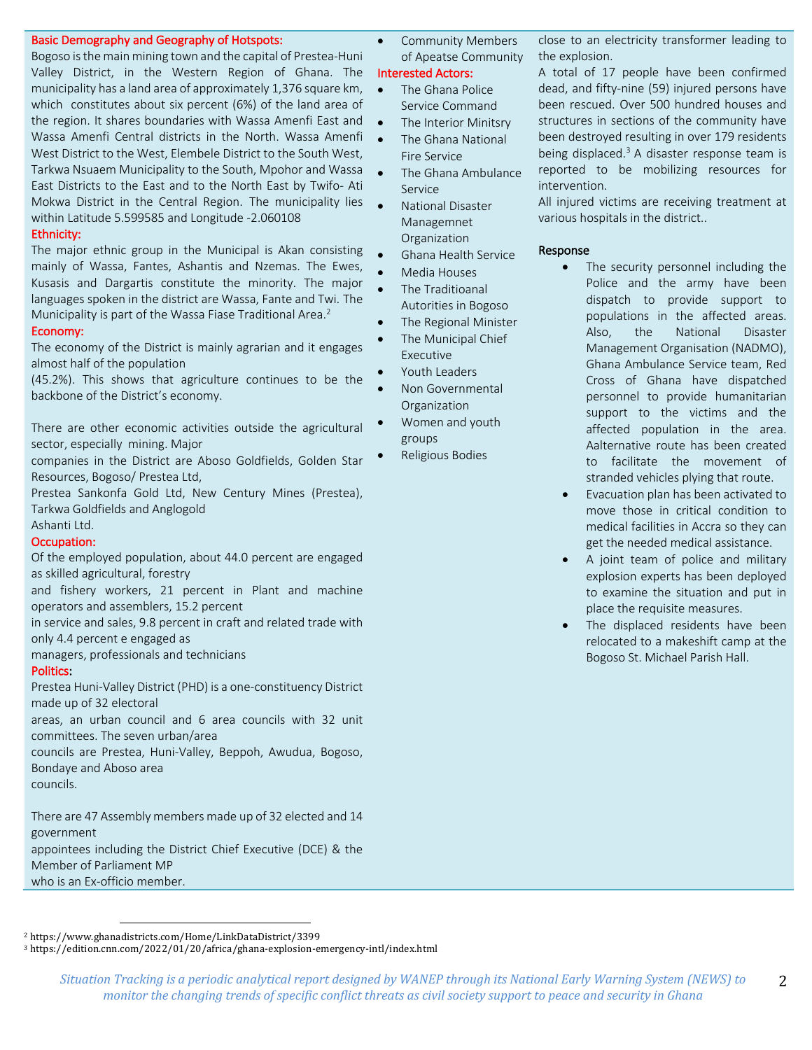### Basic Demography and Geography of Hotspots:

Bogoso is the main mining town and the capital of Prestea-Huni Valley District, in the Western Region of Ghana. The municipality has a land area of approximately 1,376 square km, which constitutes about six percent (6%) of the land area of the region. It shares boundaries with Wassa Amenfi East and Wassa Amenfi Central districts in the North. Wassa Amenfi West District to the West, Elembele District to the South West, Tarkwa Nsuaem Municipality to the South, Mpohor and Wassa East Districts to the East and to the North East by Twifo- Ati Mokwa District in the Central Region. The municipality lies within Latitude 5.599585 and Longitude -2.060108

#### Ethnicity:

The major ethnic group in the Municipal is Akan consisting mainly of Wassa, Fantes, Ashantis and Nzemas. The Ewes, Kusasis and Dargartis constitute the minority. The major languages spoken in the district are Wassa, Fante and Twi. The Municipality is part of the Wassa Fiase Traditional Area.<sup>2</sup>

### Economy:

The economy of the District is mainly agrarian and it engages almost half of the population

(45.2%). This shows that agriculture continues to be the backbone of the District's economy.

There are other economic activities outside the agricultural sector, especially mining. Major

companies in the District are Aboso Goldfields, Golden Star Resources, Bogoso/ Prestea Ltd,

Prestea Sankonfa Gold Ltd, New Century Mines (Prestea), Tarkwa Goldfields and Anglogold

Ashanti Ltd.

#### Occupation:

Of the employed population, about 44.0 percent are engaged as skilled agricultural, forestry

and fishery workers, 21 percent in Plant and machine operators and assemblers, 15.2 percent

in service and sales, 9.8 percent in craft and related trade with only 4.4 percent e engaged as

managers, professionals and technicians

### Politics:

Prestea Huni-Valley District (PHD) is a one-constituency District made up of 32 electoral

areas, an urban council and 6 area councils with 32 unit committees. The seven urban/area

councils are Prestea, Huni-Valley, Beppoh, Awudua, Bogoso, Bondaye and Aboso area

councils.

There are 47 Assembly members made up of 32 elected and 14 government appointees including the District Chief Executive (DCE) & the

Member of Parliament MP

who is an Ex-officio member.

• Community Members of Apeatse Community

# Interested Actors:

- The Ghana Police Service Command
- The Interior Minitsry • The Ghana National
- Fire Service
- The Ghana Ambulance Service
- National Disaster Managemnet Organization
- Ghana Health Service
- Media Houses
- The Traditioanal Autorities in Bogoso
- The Regional Minister
- The Municipal Chief Executive
- Youth Leaders
- Non Governmental **Organization**
- Women and youth groups
	- Religious Bodies

close to an electricity transformer leading to the explosion.

A total of 17 people have been confirmed dead, and fifty-nine (59) injured persons have been rescued. Over 500 hundred houses and structures in sections of the community have been destroyed resulting in over 179 residents being displaced.<sup>3</sup> A disaster response team is reported to be mobilizing resources for intervention.

All injured victims are receiving treatment at various hospitals in the district..

#### Response

- The security personnel including the Police and the army have been dispatch to provide support to populations in the affected areas. Also, the National Disaster Management Organisation (NADMO), Ghana Ambulance Service team, Red Cross of Ghana have dispatched personnel to provide humanitarian support to the victims and the affected population in the area. Aalternative route has been created to facilitate the movement of stranded vehicles plying that route.
- Evacuation plan has been activated to move those in critical condition to medical facilities in Accra so they can get the needed medical assistance.
- A joint team of police and military explosion experts has been deployed to examine the situation and put in place the requisite measures.
- The displaced residents have been relocated to a makeshift camp at the Bogoso St. Michael Parish Hall.

2

<sup>2</sup> https://www.ghanadistricts.com/Home/LinkDataDistrict/3399

<sup>3</sup> https://edition.cnn.com/2022/01/20/africa/ghana-explosion-emergency-intl/index.html